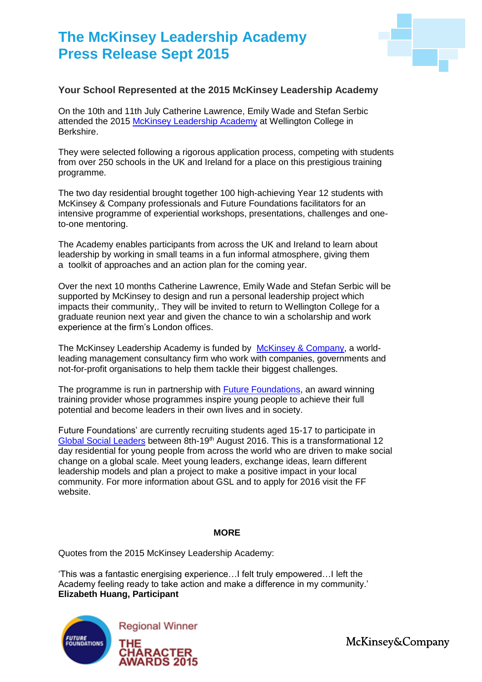## **The McKinsey Leadership Academy Press Release Sept 2015**



## **Your School Represented at the 2015 McKinsey Leadership Academy**

On the 10th and 11th July Catherine Lawrence, Emily Wade and Stefan Serbic attended the 2015 [McKinsey Leadership Academy](http://www.future-foundations.co.uk/what-we-do/current-programmes/mckinsey-leadership-academy-2015/) at Wellington College in Berkshire.

They were selected following a rigorous application process, competing with students from over 250 schools in the UK and Ireland for a place on this prestigious training programme.

The two day residential brought together 100 high-achieving Year 12 students with McKinsey & Company professionals and Future Foundations facilitators for an intensive programme of experiential workshops, presentations, challenges and oneto-one mentoring.

The Academy enables participants from across the UK and Ireland to learn about leadership by working in small teams in a fun informal atmosphere, giving them a toolkit of approaches and an action plan for the coming year.

Over the next 10 months Catherine Lawrence, Emily Wade and Stefan Serbic will be supported by McKinsey to design and run a personal leadership project which impacts their community,. They will be invited to return to Wellington College for a graduate reunion next year and given the chance to win a scholarship and work experience at the firm's London offices.

The McKinsey Leadership Academy is funded by [McKinsey & Company,](http://www.mckinsey.com/) a worldleading management consultancy firm who work with companies, governments and not-for-profit organisations to help them tackle their biggest challenges.

The programme is run in partnership with [Future Foundations,](http://www.future-foundations.co.uk/) an award winning training provider whose programmes inspire young people to achieve their full potential and become leaders in their own lives and in society.

Future Foundations' are currently recruiting students aged 15-17 to participate in [Global Social Leaders](http://www.future-foundations.co.uk/what-we-do/current-programmes/gsl2016/) between 8th-19th August 2016. This is a transformational 12 day residential for young people from across the world who are driven to make social change on a global scale. Meet young leaders, exchange ideas, learn different leadership models and plan a project to make a positive impact in your local community. For more information about GSL and to apply for 2016 visit the FF website.

## **MORE**

Quotes from the 2015 McKinsey Leadership Academy:

'This was a fantastic energising experience…I felt truly empowered…I left the Academy feeling ready to take action and make a difference in my community.' **Elizabeth Huang, Participant** 



McKinsey&Company